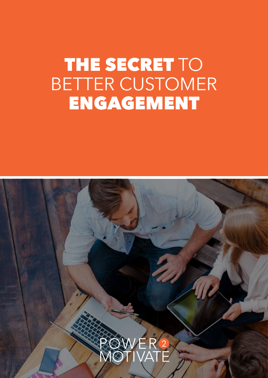# THE SECRET TO BETTER CUSTOMER ENGAGEMENT

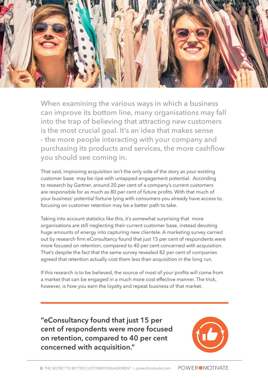

When examining the various ways in which a business can improve its bottom line, many organisations may fall into the trap of believing that attracting new customers is the most crucial goal. It's an idea that makes sense - the more people interacting with your company and purchasing its products and services, the more cashflow you should see coming in.

That said, improving acquisition isn't the only side of the story as your existing customer base may be ripe with untapped engagement potential. According to research by Gartner, around 20 per cent of a company's current customers are responsible for as much as 80 per cent of future profits. With that much of your business' potential fortune lying with consumers you already have access to, focusing on customer retention may be a better path to take.

Taking into account statistics like this, it's somewhat surprising that more organisations are still neglecting their current customer base, instead devoting huge amounts of energy into capturing new clientele. A marketing survey carried out by research firm eConsultancy found that just 15 per cent of respondents were more focused on retention, compared to 40 per cent concerned with acquisition. That's despite the fact that the same survey revealed 82 per cent of companies agreed that retention actually cost them less than acquisition in the long run.

If this research is to be believed, the source of most of your profits will come from a market that can be engaged in a much more cost effective manner. The trick, however, is how you earn the loyalty and repeat business of that market.

**"eConsultancy found that just 15 per cent of respondents were more focused on retention, compared to 40 per cent concerned with acquisition."** 

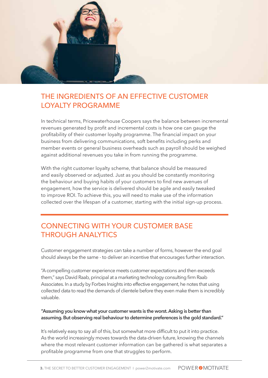

## THE INGREDIENTS OF AN EFFECTIVE CUSTOMER LOYALTY PROGRAMME

In technical terms, Pricewaterhouse Coopers says the balance between incremental revenues generated by profit and incremental costs is how one can gauge the profitability of their customer loyalty programme. The financial impact on your business from delivering communications, soft benefits including perks and member events or general business overheads such as payroll should be weighed against additional revenues you take in from running the programme.

With the right customer loyalty scheme, that balance should be measured and easily observed or adjusted. Just as you should be constantly monitoring the behaviour and buying habits of your customers to find new avenues of engagement, how the service is delivered should be agile and easily tweaked to improve ROI. To achieve this, you will need to make use of the information collected over the lifespan of a customer, starting with the initial sign-up process.

## CONNECTING WITH YOUR CUSTOMER BASE THROUGH ANALYTICS

Customer engagement strategies can take a number of forms, however the end goal should always be the same - to deliver an incentive that encourages further interaction.

"A compelling customer experience meets customer expectations and then exceeds them," says David Raab, principal at a marketing technology consulting firm Raab Associates. In a study by Forbes Insights into effective engagement, he notes that using collected data to read the demands of clientele before they even make them is incredibly valuable.

#### **"Assuming you know what your customer wants is the worst. Asking is better than assuming. But observing real behaviour to determine preferences is the gold standard."**

It's relatively easy to say all of this, but somewhat more difficult to put it into practice. As the world increasingly moves towards the data-driven future, knowing the channels where the most relevant customer information can be gathered is what separates a profitable programme from one that struggles to perform.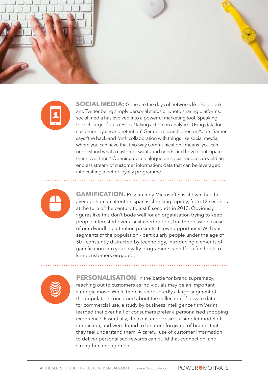



**SOCIAL MEDIA:** Gone are the days of networks like Facebook and Twitter being simply personal status or photo sharing platforms, social media has evolved into a powerful marketing tool. Speaking to TechTarget for its eBook 'Taking action on analytics: Using data for customer loyalty and retention', Gartner research director Adam Sarner says "the back-and-forth collaboration with things like social media, where you can have that two-way communication, [means] you can understand what a customer wants and needs and how to anticipate them over time." Opening up a dialogue on social media can yield an endless stream of customer information; data that can be leveraged into crafting a better loyalty programme.



**GAMIFICATION.** Research by Microsoft has shown that the average human attention span is shrinking rapidly, from 12 seconds at the turn of the century to just 8 seconds in 2013. Obviously figures like this don't bode well for an organisation trying to keep people interested over a sustained period, but the possible cause of our dwindling attention presents its own opportunity. With vast segments of the population - particularly people under the age of 30 - constantly distracted by technology, introducing elements of gamification into your loyalty programme can offer a fun hook to keep customers engaged.



**PERSONALISATION**. In the battle for brand supremacy, reaching out to customers as individuals may be an important strategic move. While there is undoubtedly a large segment of the population concerned about the collection of private data for commercial use, a study by business intelligence firm Verint learned that over half of consumers prefer a personalised shopping experience. Essentially, the consumer desires a simpler model of interaction, and were found to be more forgiving of brands that they feel understand them. A careful use of customer information to deliver personalised rewards can build that connection, and strengthen engagement.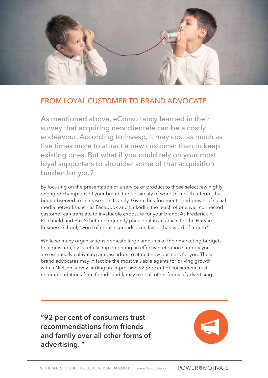

### FROM LOYAL CUSTOMER TO BRAND ADVOCATE

As mentioned above, eConsultancy learned in their survey that acquiring new clientele can be a costly endeavour. According to Invesp, it may cost as much as five times more to attract a new customer than to keep existing ones. But what if you could rely on your most loyal supporters to shoulder some of that acquisition burden for you?

By focusing on the presentation of a service or product to those select few highly engaged champions of your brand, the possibility of word-of-mouth referrals has been observed to increase significantly. Given the aforementioned power of social media networks such as Facebook and LinkedIn, the reach of one well connected customer can translate to invaluable exposure for your brand. As Frederick F. Reichheld and Phil Schefter eloquently phrased it in an article for the Harvard Business School, "word of mouse spreads even faster than word of mouth."

While so many organisations dedicate large amounts of their marketing budgets to acquisition, by carefully implementing an effective retention strategy you are essentially cultivating ambassadors to attract new business for you. These brand advocates may in fact be the most valuable agents for driving growth, with a Nielsen survey finding an impressive 92 per cent of consumers trust recommendations from friends and family over all other forms of advertising.

**"92 per cent of consumers trust recommendations from friends and family over all other forms of advertising. "**